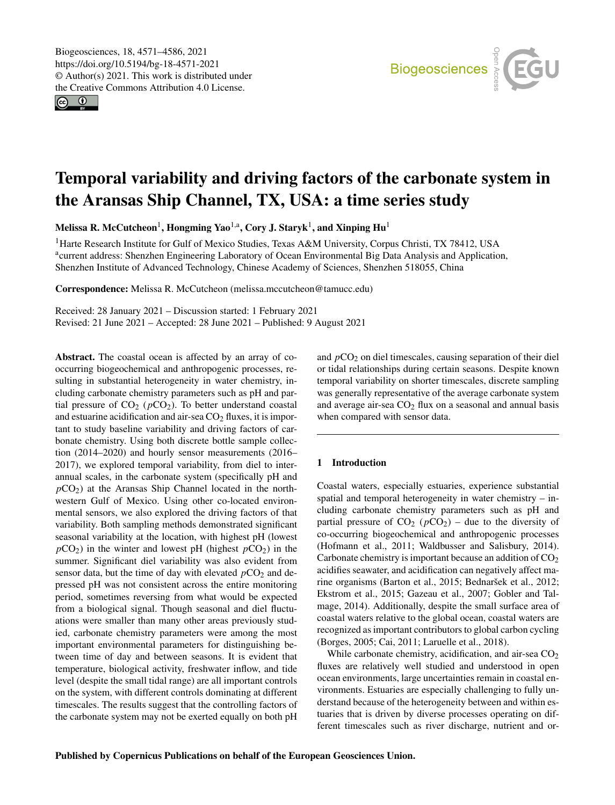$\circledcirc$ 



# Temporal variability and driving factors of the carbonate system in the Aransas Ship Channel, TX, USA: a time series study

Melissa R. McCutcheon $^1$  $^1$ , Hongming Yao $^{1,a}$  $^{1,a}$  $^{1,a}$ , Cory J. Staryk $^1$ , and Xinping Hu $^1$ 

<sup>1</sup>Harte Research Institute for Gulf of Mexico Studies, Texas A&M University, Corpus Christi, TX 78412, USA <sup>a</sup>current address: Shenzhen Engineering Laboratory of Ocean Environmental Big Data Analysis and Application, Shenzhen Institute of Advanced Technology, Chinese Academy of Sciences, Shenzhen 518055, China

Correspondence: Melissa R. McCutcheon (melissa.mccutcheon@tamucc.edu)

Received: 28 January 2021 – Discussion started: 1 February 2021 Revised: 21 June 2021 – Accepted: 28 June 2021 – Published: 9 August 2021

<span id="page-0-0"></span>Abstract. The coastal ocean is affected by an array of cooccurring biogeochemical and anthropogenic processes, resulting in substantial heterogeneity in water chemistry, including carbonate chemistry parameters such as pH and partial pressure of  $CO<sub>2</sub>$  ( $pCO<sub>2</sub>$ ). To better understand coastal and estuarine acidification and air-sea  $CO<sub>2</sub>$  fluxes, it is important to study baseline variability and driving factors of carbonate chemistry. Using both discrete bottle sample collection (2014–2020) and hourly sensor measurements (2016– 2017), we explored temporal variability, from diel to interannual scales, in the carbonate system (specifically pH and  $pCO<sub>2</sub>$ ) at the Aransas Ship Channel located in the northwestern Gulf of Mexico. Using other co-located environmental sensors, we also explored the driving factors of that variability. Both sampling methods demonstrated significant seasonal variability at the location, with highest pH (lowest  $pCO<sub>2</sub>$ ) in the winter and lowest pH (highest  $pCO<sub>2</sub>$ ) in the summer. Significant diel variability was also evident from sensor data, but the time of day with elevated  $pCO<sub>2</sub>$  and depressed pH was not consistent across the entire monitoring period, sometimes reversing from what would be expected from a biological signal. Though seasonal and diel fluctuations were smaller than many other areas previously studied, carbonate chemistry parameters were among the most important environmental parameters for distinguishing between time of day and between seasons. It is evident that temperature, biological activity, freshwater inflow, and tide level (despite the small tidal range) are all important controls on the system, with different controls dominating at different timescales. The results suggest that the controlling factors of the carbonate system may not be exerted equally on both pH

and  $pCO<sub>2</sub>$  on diel timescales, causing separation of their diel or tidal relationships during certain seasons. Despite known temporal variability on shorter timescales, discrete sampling was generally representative of the average carbonate system and average air-sea  $CO<sub>2</sub>$  flux on a seasonal and annual basis when compared with sensor data.

## 1 Introduction

Coastal waters, especially estuaries, experience substantial spatial and temporal heterogeneity in water chemistry – including carbonate chemistry parameters such as pH and partial pressure of  $CO<sub>2</sub>$  ( $pCO<sub>2</sub>$ ) – due to the diversity of co-occurring biogeochemical and anthropogenic processes (Hofmann et al., 2011; Waldbusser and Salisbury, 2014). Carbonate chemistry is important because an addition of  $CO<sub>2</sub>$ acidifies seawater, and acidification can negatively affect marine organisms (Barton et al., 2015; Bednaršek et al., 2012; Ekstrom et al., 2015; Gazeau et al., 2007; Gobler and Talmage, 2014). Additionally, despite the small surface area of coastal waters relative to the global ocean, coastal waters are recognized as important contributors to global carbon cycling (Borges, 2005; Cai, 2011; Laruelle et al., 2018).

While carbonate chemistry, acidification, and air-sea  $CO<sub>2</sub>$ fluxes are relatively well studied and understood in open ocean environments, large uncertainties remain in coastal environments. Estuaries are especially challenging to fully understand because of the heterogeneity between and within estuaries that is driven by diverse processes operating on different timescales such as river discharge, nutrient and or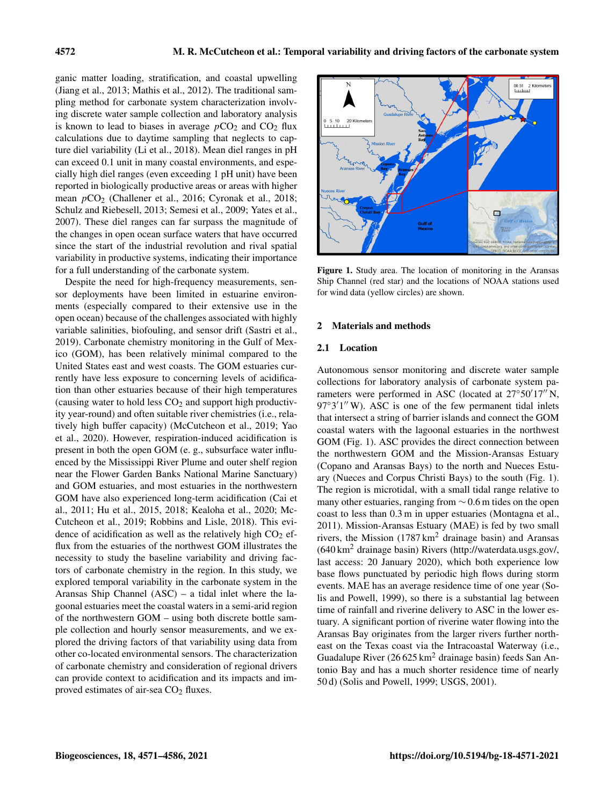ganic matter loading, stratification, and coastal upwelling (Jiang et al., 2013; Mathis et al., 2012). The traditional sampling method for carbonate system characterization involving discrete water sample collection and laboratory analysis is known to lead to biases in average  $pCO<sub>2</sub>$  and  $CO<sub>2</sub>$  flux calculations due to daytime sampling that neglects to capture diel variability (Li et al., 2018). Mean diel ranges in pH can exceed 0.1 unit in many coastal environments, and especially high diel ranges (even exceeding 1 pH unit) have been reported in biologically productive areas or areas with higher mean  $pCO<sub>2</sub>$  (Challener et al., 2016; Cyronak et al., 2018; Schulz and Riebesell, 2013; Semesi et al., 2009; Yates et al., 2007). These diel ranges can far surpass the magnitude of the changes in open ocean surface waters that have occurred since the start of the industrial revolution and rival spatial variability in productive systems, indicating their importance for a full understanding of the carbonate system.

Despite the need for high-frequency measurements, sensor deployments have been limited in estuarine environments (especially compared to their extensive use in the open ocean) because of the challenges associated with highly variable salinities, biofouling, and sensor drift (Sastri et al., 2019). Carbonate chemistry monitoring in the Gulf of Mexico (GOM), has been relatively minimal compared to the United States east and west coasts. The GOM estuaries currently have less exposure to concerning levels of acidification than other estuaries because of their high temperatures (causing water to hold less  $CO<sub>2</sub>$  and support high productivity year-round) and often suitable river chemistries (i.e., relatively high buffer capacity) (McCutcheon et al., 2019; Yao et al., 2020). However, respiration-induced acidification is present in both the open GOM (e. g., subsurface water influenced by the Mississippi River Plume and outer shelf region near the Flower Garden Banks National Marine Sanctuary) and GOM estuaries, and most estuaries in the northwestern GOM have also experienced long-term acidification (Cai et al., 2011; Hu et al., 2015, 2018; Kealoha et al., 2020; Mc-Cutcheon et al., 2019; Robbins and Lisle, 2018). This evidence of acidification as well as the relatively high  $CO<sub>2</sub>$  efflux from the estuaries of the northwest GOM illustrates the necessity to study the baseline variability and driving factors of carbonate chemistry in the region. In this study, we explored temporal variability in the carbonate system in the Aransas Ship Channel (ASC) – a tidal inlet where the lagoonal estuaries meet the coastal waters in a semi-arid region of the northwestern GOM – using both discrete bottle sample collection and hourly sensor measurements, and we explored the driving factors of that variability using data from other co-located environmental sensors. The characterization of carbonate chemistry and consideration of regional drivers can provide context to acidification and its impacts and improved estimates of air-sea CO<sub>2</sub> fluxes.



Figure 1. Study area. The location of monitoring in the Aransas Ship Channel (red star) and the locations of NOAA stations used for wind data (yellow circles) are shown.

#### 2 Materials and methods

## 2.1 Location

Autonomous sensor monitoring and discrete water sample collections for laboratory analysis of carbonate system parameters were performed in ASC (located at  $27°50'17''$  N, 97°3'1" W). ASC is one of the few permanent tidal inlets that intersect a string of barrier islands and connect the GOM coastal waters with the lagoonal estuaries in the northwest GOM (Fig. 1). ASC provides the direct connection between the northwestern GOM and the Mission-Aransas Estuary (Copano and Aransas Bays) to the north and Nueces Estuary (Nueces and Corpus Christi Bays) to the south (Fig. 1). The region is microtidal, with a small tidal range relative to many other estuaries, ranging from ∼ 0.6 m tides on the open coast to less than 0.3 m in upper estuaries (Montagna et al., 2011). Mission-Aransas Estuary (MAE) is fed by two small rivers, the Mission  $(1787 \text{ km}^2 \text{ drainage basin})$  and Aransas (640 km<sup>2</sup> drainage basin) Rivers [\(http://waterdata.usgs.gov/,](http://waterdata.usgs.gov/) last access: 20 January 2020), which both experience low base flows punctuated by periodic high flows during storm events. MAE has an average residence time of one year (Solis and Powell, 1999), so there is a substantial lag between time of rainfall and riverine delivery to ASC in the lower estuary. A significant portion of riverine water flowing into the Aransas Bay originates from the larger rivers further northeast on the Texas coast via the Intracoastal Waterway (i.e., Guadalupe River  $(26625 \text{ km}^2 \text{ drainage basin})$  feeds San Antonio Bay and has a much shorter residence time of nearly 50 d) (Solis and Powell, 1999; USGS, 2001).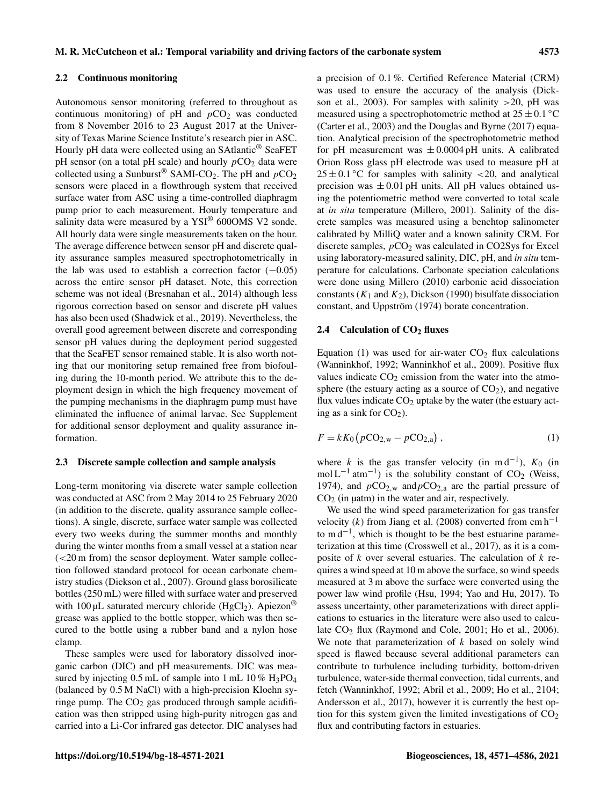Autonomous sensor monitoring (referred to throughout as continuous monitoring) of  $pH$  and  $pCO<sub>2</sub>$  was conducted from 8 November 2016 to 23 August 2017 at the University of Texas Marine Science Institute's research pier in ASC. Hourly pH data were collected using an SAtlantic® SeaFET pH sensor (on a total pH scale) and hourly  $pCO<sub>2</sub>$  data were collected using a Sunburst<sup>®</sup> SAMI-CO<sub>2</sub>. The pH and  $pCO_2$ sensors were placed in a flowthrough system that received surface water from ASC using a time-controlled diaphragm pump prior to each measurement. Hourly temperature and salinity data were measured by a  $YSI<sup>®</sup>$  600OMS V2 sonde. All hourly data were single measurements taken on the hour. The average difference between sensor pH and discrete quality assurance samples measured spectrophotometrically in the lab was used to establish a correction factor  $(-0.05)$ across the entire sensor pH dataset. Note, this correction scheme was not ideal (Bresnahan et al., 2014) although less rigorous correction based on sensor and discrete pH values has also been used (Shadwick et al., 2019). Nevertheless, the overall good agreement between discrete and corresponding sensor pH values during the deployment period suggested that the SeaFET sensor remained stable. It is also worth noting that our monitoring setup remained free from biofouling during the 10-month period. We attribute this to the deployment design in which the high frequency movement of the pumping mechanisms in the diaphragm pump must have eliminated the influence of animal larvae. See Supplement for additional sensor deployment and quality assurance information.

#### 2.3 Discrete sample collection and sample analysis

Long-term monitoring via discrete water sample collection was conducted at ASC from 2 May 2014 to 25 February 2020 (in addition to the discrete, quality assurance sample collections). A single, discrete, surface water sample was collected every two weeks during the summer months and monthly during the winter months from a small vessel at a station near (<20 m from) the sensor deployment. Water sample collection followed standard protocol for ocean carbonate chemistry studies (Dickson et al., 2007). Ground glass borosilicate bottles (250 mL) were filled with surface water and preserved with 100  $\mu$ L saturated mercury chloride (HgCl<sub>2</sub>). Apiezon<sup>®</sup> grease was applied to the bottle stopper, which was then secured to the bottle using a rubber band and a nylon hose clamp.

These samples were used for laboratory dissolved inorganic carbon (DIC) and pH measurements. DIC was measured by injecting 0.5 mL of sample into 1 mL 10 % H<sub>3</sub>PO<sub>4</sub> (balanced by 0.5 M NaCl) with a high-precision Kloehn syringe pump. The  $CO<sub>2</sub>$  gas produced through sample acidification was then stripped using high-purity nitrogen gas and carried into a Li-Cor infrared gas detector. DIC analyses had a precision of 0.1 %. Certified Reference Material (CRM) was used to ensure the accuracy of the analysis (Dickson et al., 2003). For samples with salinity  $>20$ , pH was measured using a spectrophotometric method at  $25 \pm 0.1$  °C (Carter et al., 2003) and the Douglas and Byrne (2017) equation. Analytical precision of the spectrophotometric method for pH measurement was  $\pm 0.0004$  pH units. A calibrated Orion Ross glass pH electrode was used to measure pH at  $25 \pm 0.1$  °C for samples with salinity <20, and analytical precision was  $\pm 0.01$  pH units. All pH values obtained using the potentiometric method were converted to total scale at *in situ* temperature (Millero, 2001). Salinity of the discrete samples was measured using a benchtop salinometer calibrated by MilliQ water and a known salinity CRM. For discrete samples,  $pCO<sub>2</sub>$  was calculated in CO2Sys for Excel using laboratory-measured salinity, DIC, pH, and *in situ* temperature for calculations. Carbonate speciation calculations were done using Millero (2010) carbonic acid dissociation constants  $(K_1 \text{ and } K_2)$ , Dickson (1990) bisulfate dissociation constant, and Uppström (1974) borate concentration.

#### 2.4 Calculation of CO<sub>2</sub> fluxes

Equation (1) was used for air-water  $CO<sub>2</sub>$  flux calculations (Wanninkhof, 1992; Wanninkhof et al., 2009). Positive flux values indicate  $CO<sub>2</sub>$  emission from the water into the atmosphere (the estuary acting as a source of  $CO<sub>2</sub>$ ), and negative flux values indicate  $CO<sub>2</sub>$  uptake by the water (the estuary acting as a sink for  $CO<sub>2</sub>$ ).

$$
F = k K_0 (p CO_{2,w} - p CO_{2,a}),
$$
 (1)

where k is the gas transfer velocity (in  $md^{-1}$ ),  $K_0$  (in mol L<sup>-1</sup> atm<sup>-1</sup>) is the solubility constant of CO<sub>2</sub> (Weiss, 1974), and  $pCO<sub>2,w</sub>$  and  $pCO<sub>2,a</sub>$  are the partial pressure of  $CO<sub>2</sub>$  (in µatm) in the water and air, respectively.

We used the wind speed parameterization for gas transfer velocity (k) from Jiang et al. (2008) converted from cm h<sup>-1</sup> to  $m d^{-1}$ , which is thought to be the best estuarine parameterization at this time (Crosswell et al., 2017), as it is a composite of k over several estuaries. The calculation of k requires a wind speed at 10 m above the surface, so wind speeds measured at 3 m above the surface were converted using the power law wind profile (Hsu, 1994; Yao and Hu, 2017). To assess uncertainty, other parameterizations with direct applications to estuaries in the literature were also used to calculate  $CO<sub>2</sub>$  flux (Raymond and Cole, 2001; Ho et al., 2006). We note that parameterization of  $k$  based on solely wind speed is flawed because several additional parameters can contribute to turbulence including turbidity, bottom-driven turbulence, water-side thermal convection, tidal currents, and fetch (Wanninkhof, 1992; Abril et al., 2009; Ho et al., 2104; Andersson et al., 2017), however it is currently the best option for this system given the limited investigations of  $CO<sub>2</sub>$ flux and contributing factors in estuaries.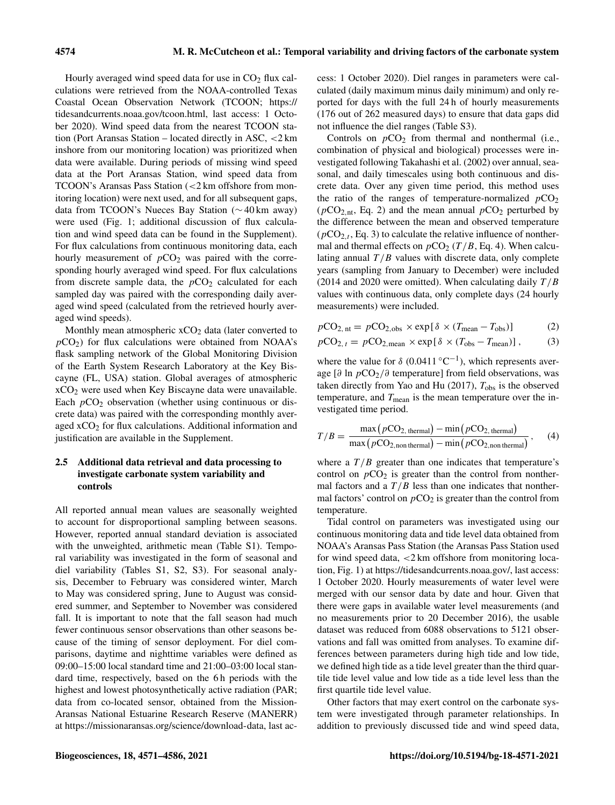Hourly averaged wind speed data for use in  $CO<sub>2</sub>$  flux calculations were retrieved from the NOAA-controlled Texas Coastal Ocean Observation Network (TCOON; [https://](https://tidesandcurrents.noaa.gov/tcoon.html) [tidesandcurrents.noaa.gov/tcoon.html,](https://tidesandcurrents.noaa.gov/tcoon.html) last access: 1 October 2020). Wind speed data from the nearest TCOON station (Port Aransas Station – located directly in ASC, <2 km inshore from our monitoring location) was prioritized when data were available. During periods of missing wind speed data at the Port Aransas Station, wind speed data from TCOON's Aransas Pass Station (<2 km offshore from monitoring location) were next used, and for all subsequent gaps, data from TCOON's Nueces Bay Station (∼ 40 km away) were used (Fig. 1; additional discussion of flux calculation and wind speed data can be found in the Supplement). For flux calculations from continuous monitoring data, each hourly measurement of  $pCO<sub>2</sub>$  was paired with the corresponding hourly averaged wind speed. For flux calculations from discrete sample data, the  $pCO<sub>2</sub>$  calculated for each sampled day was paired with the corresponding daily averaged wind speed (calculated from the retrieved hourly averaged wind speeds).

Monthly mean atmospheric xCO<sub>2</sub> data (later converted to  $pCO<sub>2</sub>$ ) for flux calculations were obtained from NOAA's flask sampling network of the Global Monitoring Division of the Earth System Research Laboratory at the Key Biscayne (FL, USA) station. Global averages of atmospheric xCO<sup>2</sup> were used when Key Biscayne data were unavailable. Each  $pCO<sub>2</sub>$  observation (whether using continuous or discrete data) was paired with the corresponding monthly averaged  $xCO<sub>2</sub>$  for flux calculations. Additional information and justification are available in the Supplement.

## 2.5 Additional data retrieval and data processing to investigate carbonate system variability and controls

All reported annual mean values are seasonally weighted to account for disproportional sampling between seasons. However, reported annual standard deviation is associated with the unweighted, arithmetic mean (Table S1). Temporal variability was investigated in the form of seasonal and diel variability (Tables S1, S2, S3). For seasonal analysis, December to February was considered winter, March to May was considered spring, June to August was considered summer, and September to November was considered fall. It is important to note that the fall season had much fewer continuous sensor observations than other seasons because of the timing of sensor deployment. For diel comparisons, daytime and nighttime variables were defined as 09:00–15:00 local standard time and 21:00–03:00 local standard time, respectively, based on the 6h periods with the highest and lowest photosynthetically active radiation (PAR; data from co-located sensor, obtained from the Mission-Aransas National Estuarine Research Reserve (MANERR) at [https://missionaransas.org/science/download-data,](https://missionaransas.org/science/download-data) last access: 1 October 2020). Diel ranges in parameters were calculated (daily maximum minus daily minimum) and only reported for days with the full 24 h of hourly measurements (176 out of 262 measured days) to ensure that data gaps did not influence the diel ranges (Table S3).

Controls on  $pCO<sub>2</sub>$  from thermal and nonthermal (i.e., combination of physical and biological) processes were investigated following Takahashi et al. (2002) over annual, seasonal, and daily timescales using both continuous and discrete data. Over any given time period, this method uses the ratio of the ranges of temperature-normalized  $pCO<sub>2</sub>$ ( $pCO<sub>2</sub>$ <sub>nt</sub>, Eq. 2) and the mean annual  $pCO<sub>2</sub>$  perturbed by the difference between the mean and observed temperature  $(pCO<sub>2,t</sub>, Eq. 3)$  to calculate the relative influence of nonthermal and thermal effects on  $pCO_2(T/B, Eq. 4)$ . When calculating annual  $T/B$  values with discrete data, only complete years (sampling from January to December) were included (2014 and 2020 were omitted). When calculating daily  $T/B$ values with continuous data, only complete days (24 hourly measurements) were included.

 $pCO_{2, nt} = pCO_{2, obs} \times \exp[\delta \times (T_{mean} - T_{obs})]$  (2)

$$
pCO_{2, t} = pCO_{2, \text{mean}} \times \exp[\delta \times (T_{\text{obs}} - T_{\text{mean}})], \tag{3}
$$

where the value for  $\delta$  (0.0411 °C<sup>-1</sup>), which represents average [∂ ln  $pCO_2/\partial$  temperature] from field observations, was taken directly from Yao and Hu  $(2017)$ ,  $T_{\text{obs}}$  is the observed temperature, and  $T_{\text{mean}}$  is the mean temperature over the investigated time period.

$$
T/B = \frac{\max (pCO_{2,\text{thermal}}) - \min (pCO_{2,\text{thermal}})}{\max (pCO_{2,\text{non thermal}}) - \min (pCO_{2,\text{non thermal}})},
$$
(4)

where a  $T/B$  greater than one indicates that temperature's control on  $pCO<sub>2</sub>$  is greater than the control from nonthermal factors and a  $T/B$  less than one indicates that nonthermal factors' control on  $pCO<sub>2</sub>$  is greater than the control from temperature.

Tidal control on parameters was investigated using our continuous monitoring data and tide level data obtained from NOAA's Aransas Pass Station (the Aransas Pass Station used for wind speed data, <2 km offshore from monitoring location, Fig. 1) at [https://tidesandcurrents.noaa.gov/,](https://tidesandcurrents.noaa.gov/waterlevels.html?id=8775241&name=Aransas,%20Aransas%20Pass&state=TX) last access: 1 October 2020. Hourly measurements of water level were merged with our sensor data by date and hour. Given that there were gaps in available water level measurements (and no measurements prior to 20 December 2016), the usable dataset was reduced from 6088 observations to 5121 observations and fall was omitted from analyses. To examine differences between parameters during high tide and low tide, we defined high tide as a tide level greater than the third quartile tide level value and low tide as a tide level less than the first quartile tide level value.

Other factors that may exert control on the carbonate system were investigated through parameter relationships. In addition to previously discussed tide and wind speed data,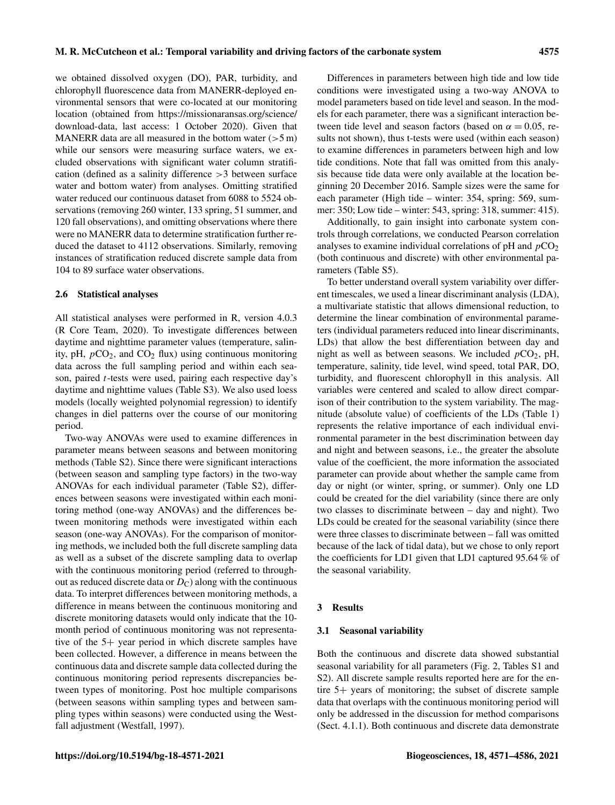we obtained dissolved oxygen (DO), PAR, turbidity, and chlorophyll fluorescence data from MANERR-deployed environmental sensors that were co-located at our monitoring location (obtained from [https://missionaransas.org/science/](https://missionaransas.org/science/download-data) [download-data,](https://missionaransas.org/science/download-data) last access: 1 October 2020). Given that MANERR data are all measured in the bottom water  $(>5 \text{ m})$ while our sensors were measuring surface waters, we excluded observations with significant water column stratification (defined as a salinity difference >3 between surface water and bottom water) from analyses. Omitting stratified water reduced our continuous dataset from 6088 to 5524 observations (removing 260 winter, 133 spring, 51 summer, and 120 fall observations), and omitting observations where there were no MANERR data to determine stratification further reduced the dataset to 4112 observations. Similarly, removing instances of stratification reduced discrete sample data from 104 to 89 surface water observations.

#### 2.6 Statistical analyses

All statistical analyses were performed in R, version 4.0.3 (R Core Team, 2020). To investigate differences between daytime and nighttime parameter values (temperature, salinity, pH,  $pCO<sub>2</sub>$ , and  $CO<sub>2</sub>$  flux) using continuous monitoring data across the full sampling period and within each season, paired t-tests were used, pairing each respective day's daytime and nighttime values (Table S3). We also used loess models (locally weighted polynomial regression) to identify changes in diel patterns over the course of our monitoring period.

Two-way ANOVAs were used to examine differences in parameter means between seasons and between monitoring methods (Table S2). Since there were significant interactions (between season and sampling type factors) in the two-way ANOVAs for each individual parameter (Table S2), differences between seasons were investigated within each monitoring method (one-way ANOVAs) and the differences between monitoring methods were investigated within each season (one-way ANOVAs). For the comparison of monitoring methods, we included both the full discrete sampling data as well as a subset of the discrete sampling data to overlap with the continuous monitoring period (referred to throughout as reduced discrete data or  $D<sub>C</sub>$ ) along with the continuous data. To interpret differences between monitoring methods, a difference in means between the continuous monitoring and discrete monitoring datasets would only indicate that the 10 month period of continuous monitoring was not representative of the 5+ year period in which discrete samples have been collected. However, a difference in means between the continuous data and discrete sample data collected during the continuous monitoring period represents discrepancies between types of monitoring. Post hoc multiple comparisons (between seasons within sampling types and between sampling types within seasons) were conducted using the Westfall adjustment (Westfall, 1997).

Differences in parameters between high tide and low tide conditions were investigated using a two-way ANOVA to model parameters based on tide level and season. In the models for each parameter, there was a significant interaction between tide level and season factors (based on  $\alpha = 0.05$ , results not shown), thus t-tests were used (within each season) to examine differences in parameters between high and low tide conditions. Note that fall was omitted from this analysis because tide data were only available at the location beginning 20 December 2016. Sample sizes were the same for each parameter (High tide – winter: 354, spring: 569, summer: 350; Low tide – winter: 543, spring: 318, summer: 415).

Additionally, to gain insight into carbonate system controls through correlations, we conducted Pearson correlation analyses to examine individual correlations of  $pH$  and  $pCO<sub>2</sub>$ (both continuous and discrete) with other environmental parameters (Table S5).

To better understand overall system variability over different timescales, we used a linear discriminant analysis (LDA), a multivariate statistic that allows dimensional reduction, to determine the linear combination of environmental parameters (individual parameters reduced into linear discriminants, LDs) that allow the best differentiation between day and night as well as between seasons. We included  $pCO<sub>2</sub>$ , pH, temperature, salinity, tide level, wind speed, total PAR, DO, turbidity, and fluorescent chlorophyll in this analysis. All variables were centered and scaled to allow direct comparison of their contribution to the system variability. The magnitude (absolute value) of coefficients of the LDs (Table 1) represents the relative importance of each individual environmental parameter in the best discrimination between day and night and between seasons, i.e., the greater the absolute value of the coefficient, the more information the associated parameter can provide about whether the sample came from day or night (or winter, spring, or summer). Only one LD could be created for the diel variability (since there are only two classes to discriminate between – day and night). Two LDs could be created for the seasonal variability (since there were three classes to discriminate between – fall was omitted because of the lack of tidal data), but we chose to only report the coefficients for LD1 given that LD1 captured 95.64 % of the seasonal variability.

#### 3 Results

## 3.1 Seasonal variability

Both the continuous and discrete data showed substantial seasonal variability for all parameters (Fig. 2, Tables S1 and S2). All discrete sample results reported here are for the entire 5+ years of monitoring; the subset of discrete sample data that overlaps with the continuous monitoring period will only be addressed in the discussion for method comparisons (Sect. 4.1.1). Both continuous and discrete data demonstrate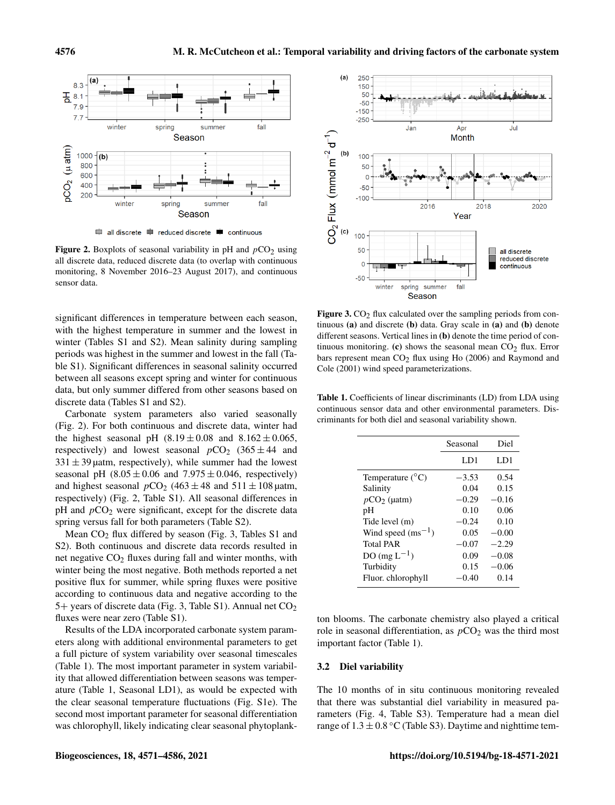

Figure 2. Boxplots of seasonal variability in pH and  $pCO<sub>2</sub>$  using all discrete data, reduced discrete data (to overlap with continuous monitoring, 8 November 2016–23 August 2017), and continuous sensor data.

significant differences in temperature between each season, with the highest temperature in summer and the lowest in winter (Tables S1 and S2). Mean salinity during sampling periods was highest in the summer and lowest in the fall (Table S1). Significant differences in seasonal salinity occurred between all seasons except spring and winter for continuous data, but only summer differed from other seasons based on discrete data (Tables S1 and S2).

Carbonate system parameters also varied seasonally (Fig. 2). For both continuous and discrete data, winter had the highest seasonal pH  $(8.19 \pm 0.08)$  and  $8.162 \pm 0.065$ , respectively) and lowest seasonal  $pCO_2$  (365  $\pm$  44 and  $331 \pm 39$  µatm, respectively), while summer had the lowest seasonal pH  $(8.05 \pm 0.06$  and  $7.975 \pm 0.046$ , respectively) and highest seasonal  $pCO_2$  (463  $\pm$  48 and 511  $\pm$  108 µatm, respectively) (Fig. 2, Table S1). All seasonal differences in  $pH$  and  $pCO<sub>2</sub>$  were significant, except for the discrete data spring versus fall for both parameters (Table S2).

Mean  $CO<sub>2</sub>$  flux differed by season (Fig. 3, Tables S1 and S2). Both continuous and discrete data records resulted in net negative  $CO<sub>2</sub>$  fluxes during fall and winter months, with winter being the most negative. Both methods reported a net positive flux for summer, while spring fluxes were positive according to continuous data and negative according to the 5+ years of discrete data (Fig. 3, Table S1). Annual net  $CO<sub>2</sub>$ fluxes were near zero (Table S1).

Results of the LDA incorporated carbonate system parameters along with additional environmental parameters to get a full picture of system variability over seasonal timescales (Table 1). The most important parameter in system variability that allowed differentiation between seasons was temperature (Table 1, Seasonal LD1), as would be expected with the clear seasonal temperature fluctuations (Fig. S1e). The second most important parameter for seasonal differentiation was chlorophyll, likely indicating clear seasonal phytoplank-



Figure 3.  $CO<sub>2</sub>$  flux calculated over the sampling periods from continuous (a) and discrete (b) data. Gray scale in (a) and (b) denote different seasons. Vertical lines in (b) denote the time period of continuous monitoring. (c) shows the seasonal mean  $CO<sub>2</sub>$  flux. Error bars represent mean  $CO<sub>2</sub>$  flux using Ho (2006) and Raymond and Cole (2001) wind speed parameterizations.

Table 1. Coefficients of linear discriminants (LD) from LDA using continuous sensor data and other environmental parameters. Discriminants for both diel and seasonal variability shown.

|                           | Seasonal | Diel    |
|---------------------------|----------|---------|
|                           | LD1      | LD1     |
| Temperature $(^{\circ}C)$ | $-3.53$  | 0.54    |
| Salinity                  | 0.04     | 0.15    |
| $pCO2$ (uatm)             | $-0.29$  | $-0.16$ |
| pH                        | 0.10     | 0.06    |
| Tide level (m)            | $-0.24$  | 0.10    |
| Wind speed $(ms^{-1})$    | 0.05     | $-0.00$ |
| <b>Total PAR</b>          | $-0.07$  | $-2.29$ |
| $DO(mgL^{-1})$            | 0.09     | $-0.08$ |
| Turbidity                 | 0.15     | $-0.06$ |
| Fluor. chlorophyll        | $-0.40$  | 0.14    |

ton blooms. The carbonate chemistry also played a critical role in seasonal differentiation, as  $pCO<sub>2</sub>$  was the third most important factor (Table 1).

## 3.2 Diel variability

The 10 months of in situ continuous monitoring revealed that there was substantial diel variability in measured parameters (Fig. 4, Table S3). Temperature had a mean diel range of  $1.3 \pm 0.8$  °C (Table S3). Daytime and nighttime tem-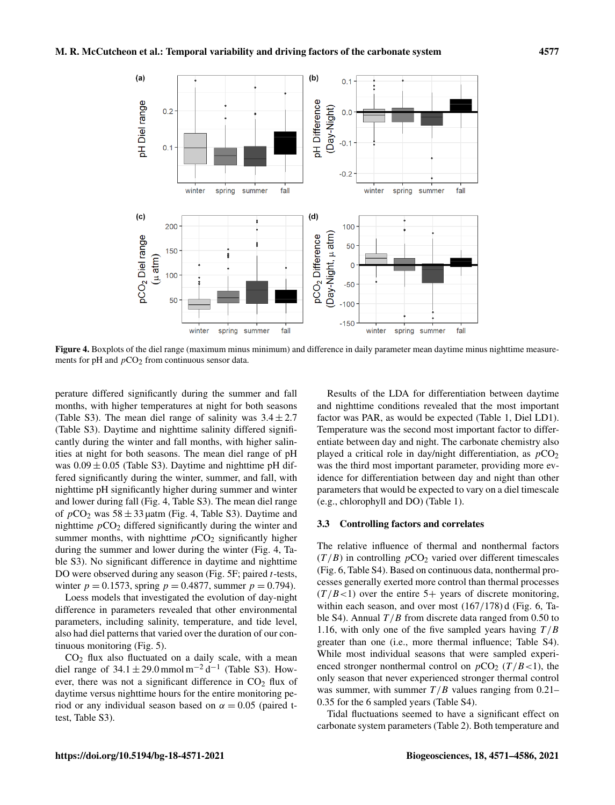

Figure 4. Boxplots of the diel range (maximum minus minimum) and difference in daily parameter mean daytime minus nighttime measurements for pH and  $pCO<sub>2</sub>$  from continuous sensor data.

perature differed significantly during the summer and fall months, with higher temperatures at night for both seasons (Table S3). The mean diel range of salinity was  $3.4 \pm 2.7$ (Table S3). Daytime and nighttime salinity differed significantly during the winter and fall months, with higher salinities at night for both seasons. The mean diel range of pH was  $0.09 \pm 0.05$  (Table S3). Daytime and nighttime pH differed significantly during the winter, summer, and fall, with nighttime pH significantly higher during summer and winter and lower during fall (Fig. 4, Table S3). The mean diel range of  $pCO_2$  was  $58 \pm 33$  µatm (Fig. 4, Table S3). Daytime and nighttime  $pCO<sub>2</sub>$  differed significantly during the winter and summer months, with nighttime  $pCO<sub>2</sub>$  significantly higher during the summer and lower during the winter (Fig. 4, Table S3). No significant difference in daytime and nighttime DO were observed during any season (Fig. 5F; paired t-tests, winter  $p = 0.1573$ , spring  $p = 0.4877$ , summer  $p = 0.794$ ).

Loess models that investigated the evolution of day-night difference in parameters revealed that other environmental parameters, including salinity, temperature, and tide level, also had diel patterns that varied over the duration of our continuous monitoring (Fig. 5).

 $CO<sub>2</sub>$  flux also fluctuated on a daily scale, with a mean diel range of  $34.1 \pm 29.0$  mmol m<sup>-2</sup> d<sup>-1</sup> (Table S3). However, there was not a significant difference in  $CO<sub>2</sub>$  flux of daytime versus nighttime hours for the entire monitoring period or any individual season based on  $\alpha = 0.05$  (paired ttest, Table S3).

Results of the LDA for differentiation between daytime and nighttime conditions revealed that the most important factor was PAR, as would be expected (Table 1, Diel LD1). Temperature was the second most important factor to differentiate between day and night. The carbonate chemistry also played a critical role in day/night differentiation, as  $pCO<sub>2</sub>$ was the third most important parameter, providing more evidence for differentiation between day and night than other parameters that would be expected to vary on a diel timescale (e.g., chlorophyll and DO) (Table 1).

## 3.3 Controlling factors and correlates

The relative influence of thermal and nonthermal factors  $(T/B)$  in controlling  $pCO<sub>2</sub>$  varied over different timescales (Fig. 6, Table S4). Based on continuous data, nonthermal processes generally exerted more control than thermal processes  $(T / B < 1)$  over the entire 5+ years of discrete monitoring, within each season, and over most (167/178) d (Fig. 6, Table S4). Annual  $T/B$  from discrete data ranged from 0.50 to 1.16, with only one of the five sampled years having  $T/B$ greater than one (i.e., more thermal influence; Table S4). While most individual seasons that were sampled experienced stronger nonthermal control on  $pCO_2$  ( $T/B < 1$ ), the only season that never experienced stronger thermal control was summer, with summer  $T/B$  values ranging from 0.21– 0.35 for the 6 sampled years (Table S4).

Tidal fluctuations seemed to have a significant effect on carbonate system parameters (Table 2). Both temperature and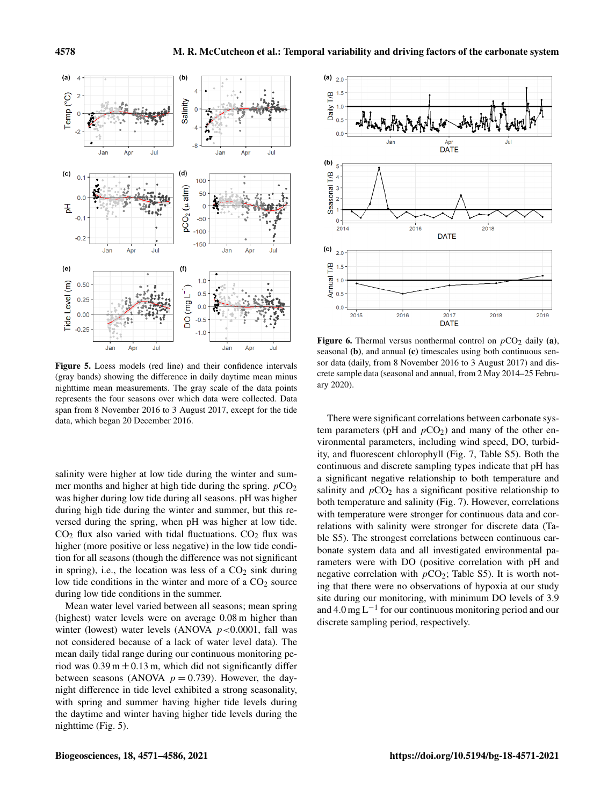

Figure 5. Loess models (red line) and their confidence intervals (gray bands) showing the difference in daily daytime mean minus nighttime mean measurements. The gray scale of the data points represents the four seasons over which data were collected. Data span from 8 November 2016 to 3 August 2017, except for the tide data, which began 20 December 2016.

salinity were higher at low tide during the winter and summer months and higher at high tide during the spring.  $pCO<sub>2</sub>$ was higher during low tide during all seasons. pH was higher during high tide during the winter and summer, but this reversed during the spring, when pH was higher at low tide.  $CO<sub>2</sub>$  flux also varied with tidal fluctuations.  $CO<sub>2</sub>$  flux was higher (more positive or less negative) in the low tide condition for all seasons (though the difference was not significant in spring), i.e., the location was less of a  $CO<sub>2</sub>$  sink during low tide conditions in the winter and more of a  $CO<sub>2</sub>$  source during low tide conditions in the summer.

Mean water level varied between all seasons; mean spring (highest) water levels were on average 0.08 m higher than winter (lowest) water levels (ANOVA  $p < 0.0001$ , fall was not considered because of a lack of water level data). The mean daily tidal range during our continuous monitoring period was  $0.39 \text{ m} \pm 0.13 \text{ m}$ , which did not significantly differ between seasons (ANOVA  $p = 0.739$ ). However, the daynight difference in tide level exhibited a strong seasonality, with spring and summer having higher tide levels during the daytime and winter having higher tide levels during the nighttime (Fig. 5).



Figure 6. Thermal versus nonthermal control on  $pCO<sub>2</sub>$  daily (a), seasonal (b), and annual (c) timescales using both continuous sensor data (daily, from 8 November 2016 to 3 August 2017) and discrete sample data (seasonal and annual, from 2 May 2014–25 February 2020).

There were significant correlations between carbonate system parameters (pH and  $pCO<sub>2</sub>$ ) and many of the other environmental parameters, including wind speed, DO, turbidity, and fluorescent chlorophyll (Fig. 7, Table S5). Both the continuous and discrete sampling types indicate that pH has a significant negative relationship to both temperature and salinity and  $pCO<sub>2</sub>$  has a significant positive relationship to both temperature and salinity (Fig. 7). However, correlations with temperature were stronger for continuous data and correlations with salinity were stronger for discrete data (Table S5). The strongest correlations between continuous carbonate system data and all investigated environmental parameters were with DO (positive correlation with pH and negative correlation with  $pCO_2$ ; Table S5). It is worth noting that there were no observations of hypoxia at our study site during our monitoring, with minimum DO levels of 3.9 and 4.0 mg L−<sup>1</sup> for our continuous monitoring period and our discrete sampling period, respectively.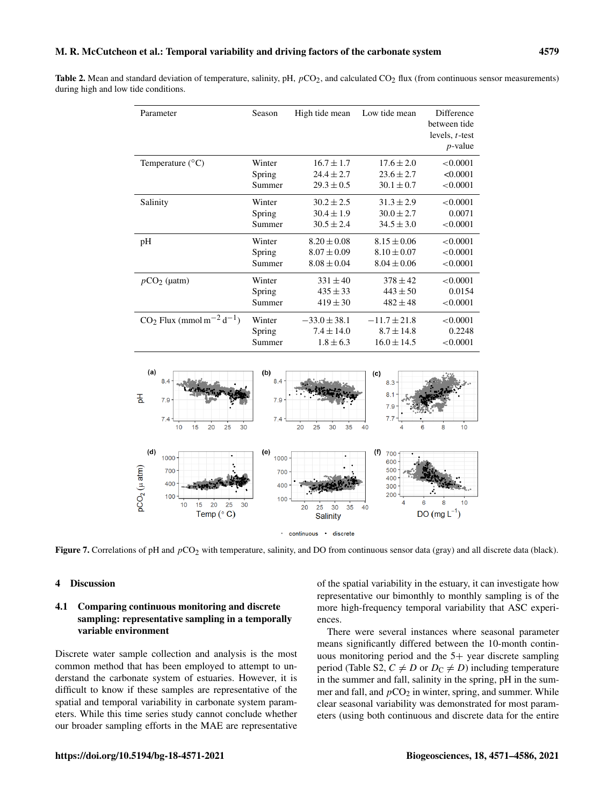| Parameter                                           | Season | High tide mean   | Low tide mean    | Difference        |
|-----------------------------------------------------|--------|------------------|------------------|-------------------|
|                                                     |        |                  |                  | between tide      |
|                                                     |        |                  |                  | levels, $t$ -test |
|                                                     |        |                  |                  | $p$ -value        |
| Temperature $(^{\circ}C)$                           | Winter | $16.7 \pm 1.7$   | $17.6 \pm 2.0$   | < 0.0001          |
|                                                     | Spring | $24.4 \pm 2.7$   | $23.6 \pm 2.7$   | < 0.0001          |
|                                                     | Summer | $29.3 \pm 0.5$   | $30.1 \pm 0.7$   | < 0.0001          |
| Salinity                                            | Winter | $30.2 \pm 2.5$   | $31.3 \pm 2.9$   | < 0.0001          |
|                                                     | Spring | $30.4 \pm 1.9$   | $30.0 \pm 2.7$   | 0.0071            |
|                                                     | Summer | $30.5 \pm 2.4$   | $34.5 \pm 3.0$   | < 0.0001          |
| pH                                                  | Winter | $8.20 \pm 0.08$  | $8.15 \pm 0.06$  | < 0.0001          |
|                                                     | Spring | $8.07 \pm 0.09$  | $8.10 \pm 0.07$  | < 0.0001          |
|                                                     | Summer | $8.08 \pm 0.04$  | $8.04 \pm 0.06$  | < 0.0001          |
| $pCO2$ (µatm)                                       | Winter | $331 \pm 40$     | $378 \pm 42$     | < 0.0001          |
|                                                     | Spring | $435 \pm 33$     | $443 \pm 50$     | 0.0154            |
|                                                     | Summer | $419 \pm 30$     | $482 \pm 48$     | < 0.0001          |
| $CO_2$ Flux (mmol m <sup>-2</sup> d <sup>-1</sup> ) | Winter | $-33.0 \pm 38.1$ | $-11.7 \pm 21.8$ | < 0.0001          |
|                                                     | Spring | $7.4 \pm 14.0$   | $8.7 \pm 14.8$   | 0.2248            |
|                                                     | Summer | $1.8 \pm 6.3$    | $16.0 \pm 14.5$  | < 0.0001          |
|                                                     |        |                  |                  |                   |
| (a)                                                 | (b)    |                  | (c)              |                   |
| 8.4<br>8.4<br>$8.3 -$                               |        |                  |                  |                   |
|                                                     |        |                  | 8.1              |                   |



Figure 7. Correlations of pH and  $pCO_2$  with temperature, salinity, and DO from continuous sensor data (gray) and all discrete data (black).

#### 4 Discussion

## 4.1 Comparing continuous monitoring and discrete sampling: representative sampling in a temporally variable environment

Discrete water sample collection and analysis is the most common method that has been employed to attempt to understand the carbonate system of estuaries. However, it is difficult to know if these samples are representative of the spatial and temporal variability in carbonate system parameters. While this time series study cannot conclude whether our broader sampling efforts in the MAE are representative of the spatial variability in the estuary, it can investigate how representative our bimonthly to monthly sampling is of the more high-frequency temporal variability that ASC experiences.

There were several instances where seasonal parameter means significantly differed between the 10-month continuous monitoring period and the 5+ year discrete sampling period (Table S2,  $C \neq D$  or  $D_C \neq D$ ) including temperature in the summer and fall, salinity in the spring, pH in the summer and fall, and  $pCO<sub>2</sub>$  in winter, spring, and summer. While clear seasonal variability was demonstrated for most parameters (using both continuous and discrete data for the entire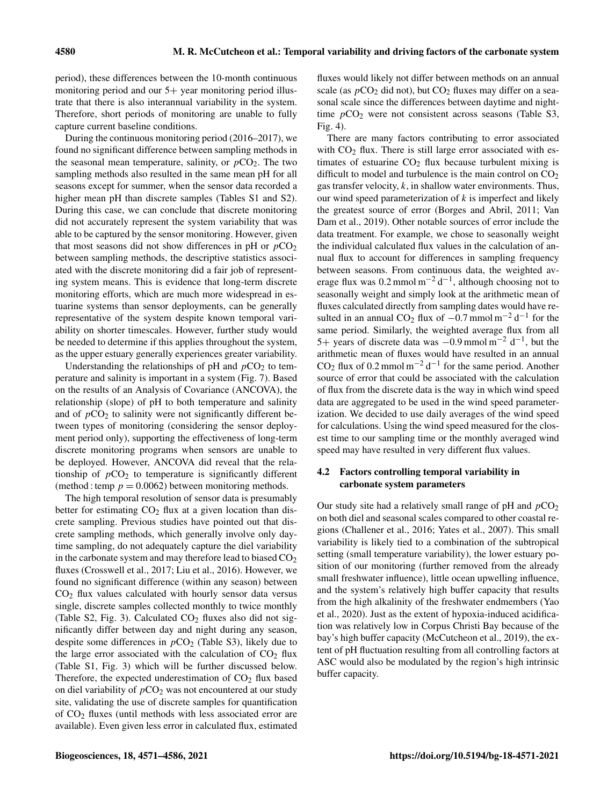period), these differences between the 10-month continuous monitoring period and our  $5+$  year monitoring period illustrate that there is also interannual variability in the system. Therefore, short periods of monitoring are unable to fully capture current baseline conditions.

During the continuous monitoring period (2016–2017), we found no significant difference between sampling methods in the seasonal mean temperature, salinity, or  $pCO<sub>2</sub>$ . The two sampling methods also resulted in the same mean pH for all seasons except for summer, when the sensor data recorded a higher mean pH than discrete samples (Tables S1 and S2). During this case, we can conclude that discrete monitoring did not accurately represent the system variability that was able to be captured by the sensor monitoring. However, given that most seasons did not show differences in pH or  $pCO<sub>2</sub>$ between sampling methods, the descriptive statistics associated with the discrete monitoring did a fair job of representing system means. This is evidence that long-term discrete monitoring efforts, which are much more widespread in estuarine systems than sensor deployments, can be generally representative of the system despite known temporal variability on shorter timescales. However, further study would be needed to determine if this applies throughout the system, as the upper estuary generally experiences greater variability.

Understanding the relationships of pH and  $pCO<sub>2</sub>$  to temperature and salinity is important in a system (Fig. 7). Based on the results of an Analysis of Covariance (ANCOVA), the relationship (slope) of pH to both temperature and salinity and of  $pCO<sub>2</sub>$  to salinity were not significantly different between types of monitoring (considering the sensor deployment period only), supporting the effectiveness of long-term discrete monitoring programs when sensors are unable to be deployed. However, ANCOVA did reveal that the relationship of  $pCO<sub>2</sub>$  to temperature is significantly different (method : temp  $p = 0.0062$ ) between monitoring methods.

The high temporal resolution of sensor data is presumably better for estimating  $CO<sub>2</sub>$  flux at a given location than discrete sampling. Previous studies have pointed out that discrete sampling methods, which generally involve only daytime sampling, do not adequately capture the diel variability in the carbonate system and may therefore lead to biased  $CO<sub>2</sub>$ fluxes (Crosswell et al., 2017; Liu et al., 2016). However, we found no significant difference (within any season) between  $CO<sub>2</sub>$  flux values calculated with hourly sensor data versus single, discrete samples collected monthly to twice monthly (Table S2, Fig. 3). Calculated  $CO<sub>2</sub>$  fluxes also did not significantly differ between day and night during any season, despite some differences in  $pCO<sub>2</sub>$  (Table S3), likely due to the large error associated with the calculation of  $CO<sub>2</sub>$  flux (Table S1, Fig. 3) which will be further discussed below. Therefore, the expected underestimation of  $CO<sub>2</sub>$  flux based on diel variability of  $pCO<sub>2</sub>$  was not encountered at our study site, validating the use of discrete samples for quantification of  $CO<sub>2</sub>$  fluxes (until methods with less associated error are available). Even given less error in calculated flux, estimated

fluxes would likely not differ between methods on an annual scale (as  $pCO_2$  did not), but  $CO_2$  fluxes may differ on a seasonal scale since the differences between daytime and nighttime  $pCO<sub>2</sub>$  were not consistent across seasons (Table S3, Fig. 4).

There are many factors contributing to error associated with  $CO<sub>2</sub>$  flux. There is still large error associated with estimates of estuarine  $CO<sub>2</sub>$  flux because turbulent mixing is difficult to model and turbulence is the main control on  $CO<sub>2</sub>$ gas transfer velocity,  $k$ , in shallow water environments. Thus, our wind speed parameterization of  $k$  is imperfect and likely the greatest source of error (Borges and Abril, 2011; Van Dam et al., 2019). Other notable sources of error include the data treatment. For example, we chose to seasonally weight the individual calculated flux values in the calculation of annual flux to account for differences in sampling frequency between seasons. From continuous data, the weighted average flux was  $0.2$  mmol m<sup>-2</sup> d<sup>-1</sup>, although choosing not to seasonally weight and simply look at the arithmetic mean of fluxes calculated directly from sampling dates would have resulted in an annual CO<sub>2</sub> flux of  $-0.7$  mmol m<sup>-2</sup> d<sup>-1</sup> for the same period. Similarly, the weighted average flux from all 5+ years of discrete data was  $-0.9$  mmol m<sup>-2</sup> d<sup>-1</sup>, but the arithmetic mean of fluxes would have resulted in an annual CO<sub>2</sub> flux of 0.2 mmol m<sup>-2</sup> d<sup>-1</sup> for the same period. Another source of error that could be associated with the calculation of flux from the discrete data is the way in which wind speed data are aggregated to be used in the wind speed parameterization. We decided to use daily averages of the wind speed for calculations. Using the wind speed measured for the closest time to our sampling time or the monthly averaged wind speed may have resulted in very different flux values.

# 4.2 Factors controlling temporal variability in carbonate system parameters

Our study site had a relatively small range of pH and  $pCO<sub>2</sub>$ on both diel and seasonal scales compared to other coastal regions (Challener et al., 2016; Yates et al., 2007). This small variability is likely tied to a combination of the subtropical setting (small temperature variability), the lower estuary position of our monitoring (further removed from the already small freshwater influence), little ocean upwelling influence, and the system's relatively high buffer capacity that results from the high alkalinity of the freshwater endmembers (Yao et al., 2020). Just as the extent of hypoxia-induced acidification was relatively low in Corpus Christi Bay because of the bay's high buffer capacity (McCutcheon et al., 2019), the extent of pH fluctuation resulting from all controlling factors at ASC would also be modulated by the region's high intrinsic buffer capacity.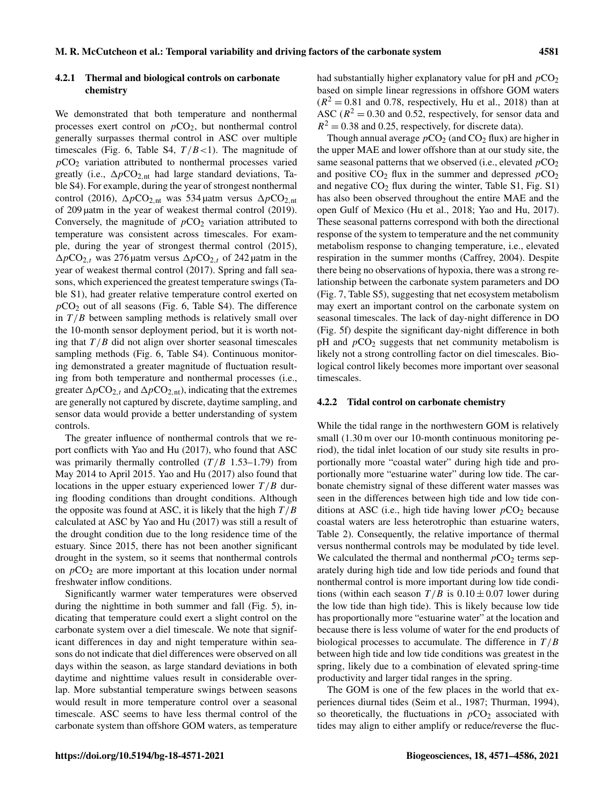## 4.2.1 Thermal and biological controls on carbonate chemistry

We demonstrated that both temperature and nonthermal processes exert control on  $pCO<sub>2</sub>$ , but nonthermal control generally surpasses thermal control in ASC over multiple timescales (Fig. 6, Table S4,  $T/B < 1$ ). The magnitude of  $pCO<sub>2</sub>$  variation attributed to nonthermal processes varied greatly (i.e.,  $\Delta p \text{CO}_{2,nt}$  had large standard deviations, Table S4). For example, during the year of strongest nonthermal control (2016),  $\Delta p \text{CO}_{2,\text{nt}}$  was 534 µatm versus  $\Delta p \text{CO}_{2,\text{nt}}$ of 209 µatm in the year of weakest thermal control (2019). Conversely, the magnitude of  $pCO<sub>2</sub>$  variation attributed to temperature was consistent across timescales. For example, during the year of strongest thermal control (2015),  $\Delta p \text{CO}_{2,t}$  was 276 µatm versus  $\Delta p \text{CO}_{2,t}$  of 242 µatm in the year of weakest thermal control (2017). Spring and fall seasons, which experienced the greatest temperature swings (Table S1), had greater relative temperature control exerted on  $pCO<sub>2</sub>$  out of all seasons (Fig. 6, Table S4). The difference in  $T/B$  between sampling methods is relatively small over the 10-month sensor deployment period, but it is worth noting that  $T/B$  did not align over shorter seasonal timescales sampling methods (Fig. 6, Table S4). Continuous monitoring demonstrated a greater magnitude of fluctuation resulting from both temperature and nonthermal processes (i.e., greater  $\Delta p \text{CO}_{2,t}$  and  $\Delta p \text{CO}_{2,nt}$ ), indicating that the extremes are generally not captured by discrete, daytime sampling, and sensor data would provide a better understanding of system controls.

The greater influence of nonthermal controls that we report conflicts with Yao and Hu (2017), who found that ASC was primarily thermally controlled  $(T/B \ 1.53-1.79)$  from May 2014 to April 2015. Yao and Hu (2017) also found that locations in the upper estuary experienced lower  $T/B$  during flooding conditions than drought conditions. Although the opposite was found at ASC, it is likely that the high  $T/B$ calculated at ASC by Yao and Hu (2017) was still a result of the drought condition due to the long residence time of the estuary. Since 2015, there has not been another significant drought in the system, so it seems that nonthermal controls on  $pCO<sub>2</sub>$  are more important at this location under normal freshwater inflow conditions.

Significantly warmer water temperatures were observed during the nighttime in both summer and fall (Fig. 5), indicating that temperature could exert a slight control on the carbonate system over a diel timescale. We note that significant differences in day and night temperature within seasons do not indicate that diel differences were observed on all days within the season, as large standard deviations in both daytime and nighttime values result in considerable overlap. More substantial temperature swings between seasons would result in more temperature control over a seasonal timescale. ASC seems to have less thermal control of the carbonate system than offshore GOM waters, as temperature had substantially higher explanatory value for  $pH$  and  $pCO<sub>2</sub>$ based on simple linear regressions in offshore GOM waters  $(R<sup>2</sup> = 0.81$  and 0.78, respectively, Hu et al., 2018) than at ASC ( $R^2 = 0.30$  and 0.52, respectively, for sensor data and  $R<sup>2</sup> = 0.38$  and 0.25, respectively, for discrete data).

Though annual average  $pCO_2$  (and  $CO_2$  flux) are higher in the upper MAE and lower offshore than at our study site, the same seasonal patterns that we observed (i.e., elevated  $pCO<sub>2</sub>$ ) and positive  $CO<sub>2</sub>$  flux in the summer and depressed  $pCO<sub>2</sub>$ and negative  $CO<sub>2</sub>$  flux during the winter, Table S1, Fig. S1) has also been observed throughout the entire MAE and the open Gulf of Mexico (Hu et al., 2018; Yao and Hu, 2017). These seasonal patterns correspond with both the directional response of the system to temperature and the net community metabolism response to changing temperature, i.e., elevated respiration in the summer months (Caffrey, 2004). Despite there being no observations of hypoxia, there was a strong relationship between the carbonate system parameters and DO (Fig. 7, Table S5), suggesting that net ecosystem metabolism may exert an important control on the carbonate system on seasonal timescales. The lack of day-night difference in DO (Fig. 5f) despite the significant day-night difference in both pH and  $pCO<sub>2</sub>$  suggests that net community metabolism is likely not a strong controlling factor on diel timescales. Biological control likely becomes more important over seasonal timescales.

#### 4.2.2 Tidal control on carbonate chemistry

While the tidal range in the northwestern GOM is relatively small (1.30 m over our 10-month continuous monitoring period), the tidal inlet location of our study site results in proportionally more "coastal water" during high tide and proportionally more "estuarine water" during low tide. The carbonate chemistry signal of these different water masses was seen in the differences between high tide and low tide conditions at ASC (i.e., high tide having lower  $pCO<sub>2</sub>$  because coastal waters are less heterotrophic than estuarine waters, Table 2). Consequently, the relative importance of thermal versus nonthermal controls may be modulated by tide level. We calculated the thermal and nonthermal  $pCO<sub>2</sub>$  terms separately during high tide and low tide periods and found that nonthermal control is more important during low tide conditions (within each season  $T/B$  is  $0.10 \pm 0.07$  lower during the low tide than high tide). This is likely because low tide has proportionally more "estuarine water" at the location and because there is less volume of water for the end products of biological processes to accumulate. The difference in  $T/B$ between high tide and low tide conditions was greatest in the spring, likely due to a combination of elevated spring-time productivity and larger tidal ranges in the spring.

The GOM is one of the few places in the world that experiences diurnal tides (Seim et al., 1987; Thurman, 1994), so theoretically, the fluctuations in  $pCO<sub>2</sub>$  associated with tides may align to either amplify or reduce/reverse the fluc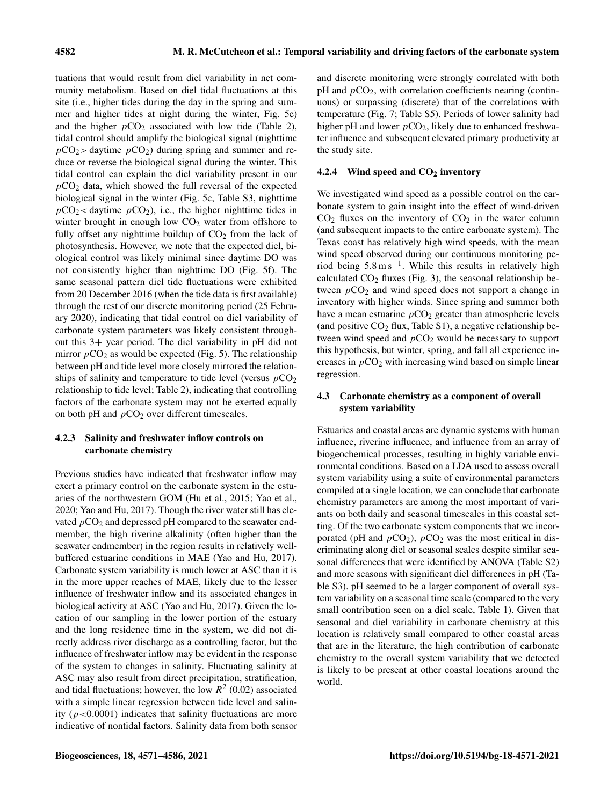tuations that would result from diel variability in net community metabolism. Based on diel tidal fluctuations at this site (i.e., higher tides during the day in the spring and summer and higher tides at night during the winter, Fig. 5e) and the higher  $pCO<sub>2</sub>$  associated with low tide (Table 2), tidal control should amplify the biological signal (nighttime  $pCO_2$  daytime  $pCO_2$ ) during spring and summer and reduce or reverse the biological signal during the winter. This tidal control can explain the diel variability present in our  $pCO<sub>2</sub>$  data, which showed the full reversal of the expected biological signal in the winter (Fig. 5c, Table S3, nighttime  $pCO_2$  < daytime  $pCO_2$ ), i.e., the higher nighttime tides in winter brought in enough low  $CO<sub>2</sub>$  water from offshore to fully offset any nighttime buildup of  $CO<sub>2</sub>$  from the lack of photosynthesis. However, we note that the expected diel, biological control was likely minimal since daytime DO was not consistently higher than nighttime DO (Fig. 5f). The same seasonal pattern diel tide fluctuations were exhibited from 20 December 2016 (when the tide data is first available) through the rest of our discrete monitoring period (25 February 2020), indicating that tidal control on diel variability of carbonate system parameters was likely consistent throughout this 3+ year period. The diel variability in pH did not mirror  $pCO_2$  as would be expected (Fig. 5). The relationship between pH and tide level more closely mirrored the relationships of salinity and temperature to tide level (versus  $pCO<sub>2</sub>$ ) relationship to tide level; Table 2), indicating that controlling factors of the carbonate system may not be exerted equally on both pH and  $pCO<sub>2</sub>$  over different timescales.

# 4.2.3 Salinity and freshwater inflow controls on carbonate chemistry

Previous studies have indicated that freshwater inflow may exert a primary control on the carbonate system in the estuaries of the northwestern GOM (Hu et al., 2015; Yao et al., 2020; Yao and Hu, 2017). Though the river water still has elevated  $pCO<sub>2</sub>$  and depressed pH compared to the seawater endmember, the high riverine alkalinity (often higher than the seawater endmember) in the region results in relatively wellbuffered estuarine conditions in MAE (Yao and Hu, 2017). Carbonate system variability is much lower at ASC than it is in the more upper reaches of MAE, likely due to the lesser influence of freshwater inflow and its associated changes in biological activity at ASC (Yao and Hu, 2017). Given the location of our sampling in the lower portion of the estuary and the long residence time in the system, we did not directly address river discharge as a controlling factor, but the influence of freshwater inflow may be evident in the response of the system to changes in salinity. Fluctuating salinity at ASC may also result from direct precipitation, stratification, and tidal fluctuations; however, the low  $R^2$  (0.02) associated with a simple linear regression between tide level and salinity ( $p < 0.0001$ ) indicates that salinity fluctuations are more indicative of nontidal factors. Salinity data from both sensor and discrete monitoring were strongly correlated with both  $pH$  and  $pCO<sub>2</sub>$ , with correlation coefficients nearing (continuous) or surpassing (discrete) that of the correlations with temperature (Fig. 7; Table S5). Periods of lower salinity had higher pH and lower  $pCO<sub>2</sub>$ , likely due to enhanced freshwater influence and subsequent elevated primary productivity at the study site.

## 4.2.4 Wind speed and  $CO<sub>2</sub>$  inventory

We investigated wind speed as a possible control on the carbonate system to gain insight into the effect of wind-driven  $CO<sub>2</sub>$  fluxes on the inventory of  $CO<sub>2</sub>$  in the water column (and subsequent impacts to the entire carbonate system). The Texas coast has relatively high wind speeds, with the mean wind speed observed during our continuous monitoring period being 5.8 m s−<sup>1</sup> . While this results in relatively high calculated  $CO<sub>2</sub>$  fluxes (Fig. 3), the seasonal relationship between  $pCO<sub>2</sub>$  and wind speed does not support a change in inventory with higher winds. Since spring and summer both have a mean estuarine  $pCO<sub>2</sub>$  greater than atmospheric levels (and positive  $CO<sub>2</sub>$  flux, Table S1), a negative relationship between wind speed and  $pCO<sub>2</sub>$  would be necessary to support this hypothesis, but winter, spring, and fall all experience increases in  $pCO<sub>2</sub>$  with increasing wind based on simple linear regression.

## 4.3 Carbonate chemistry as a component of overall system variability

Estuaries and coastal areas are dynamic systems with human influence, riverine influence, and influence from an array of biogeochemical processes, resulting in highly variable environmental conditions. Based on a LDA used to assess overall system variability using a suite of environmental parameters compiled at a single location, we can conclude that carbonate chemistry parameters are among the most important of variants on both daily and seasonal timescales in this coastal setting. Of the two carbonate system components that we incorporated (pH and  $pCO<sub>2</sub>$ ),  $pCO<sub>2</sub>$  was the most critical in discriminating along diel or seasonal scales despite similar seasonal differences that were identified by ANOVA (Table S2) and more seasons with significant diel differences in pH (Table S3). pH seemed to be a larger component of overall system variability on a seasonal time scale (compared to the very small contribution seen on a diel scale, Table 1). Given that seasonal and diel variability in carbonate chemistry at this location is relatively small compared to other coastal areas that are in the literature, the high contribution of carbonate chemistry to the overall system variability that we detected is likely to be present at other coastal locations around the world.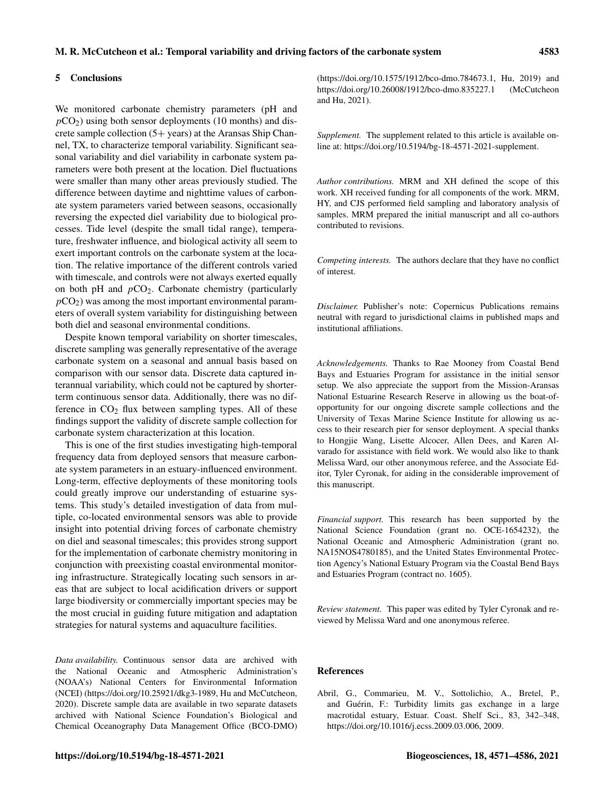#### 5 Conclusions

We monitored carbonate chemistry parameters (pH and  $pCO<sub>2</sub>$ ) using both sensor deployments (10 months) and discrete sample collection (5+ years) at the Aransas Ship Channel, TX, to characterize temporal variability. Significant seasonal variability and diel variability in carbonate system parameters were both present at the location. Diel fluctuations were smaller than many other areas previously studied. The difference between daytime and nighttime values of carbonate system parameters varied between seasons, occasionally reversing the expected diel variability due to biological processes. Tide level (despite the small tidal range), temperature, freshwater influence, and biological activity all seem to exert important controls on the carbonate system at the location. The relative importance of the different controls varied with timescale, and controls were not always exerted equally on both pH and  $pCO<sub>2</sub>$ . Carbonate chemistry (particularly  $pCO<sub>2</sub>$ ) was among the most important environmental parameters of overall system variability for distinguishing between both diel and seasonal environmental conditions.

Despite known temporal variability on shorter timescales, discrete sampling was generally representative of the average carbonate system on a seasonal and annual basis based on comparison with our sensor data. Discrete data captured interannual variability, which could not be captured by shorterterm continuous sensor data. Additionally, there was no difference in  $CO<sub>2</sub>$  flux between sampling types. All of these findings support the validity of discrete sample collection for carbonate system characterization at this location.

This is one of the first studies investigating high-temporal frequency data from deployed sensors that measure carbonate system parameters in an estuary-influenced environment. Long-term, effective deployments of these monitoring tools could greatly improve our understanding of estuarine systems. This study's detailed investigation of data from multiple, co-located environmental sensors was able to provide insight into potential driving forces of carbonate chemistry on diel and seasonal timescales; this provides strong support for the implementation of carbonate chemistry monitoring in conjunction with preexisting coastal environmental monitoring infrastructure. Strategically locating such sensors in areas that are subject to local acidification drivers or support large biodiversity or commercially important species may be the most crucial in guiding future mitigation and adaptation strategies for natural systems and aquaculture facilities.

*Data availability.* Continuous sensor data are archived with the National Oceanic and Atmospheric Administration's (NOAA's) National Centers for Environmental Information (NCEI) (https://doi.org[/10.25921/dkg3-1989,](https://doi.org/10.25921/dkg3-1989) Hu and McCutcheon, 2020). Discrete sample data are available in two separate datasets archived with National Science Foundation's Biological and Chemical Oceanography Data Management Office (BCO-DMO)

this manuscript.

*Financial support.* This research has been supported by the National Science Foundation (grant no. OCE-1654232), the National Oceanic and Atmospheric Administration (grant no. NA15NOS4780185), and the United States Environmental Protection Agency's National Estuary Program via the Coastal Bend Bays and Estuaries Program (contract no. 1605).

(https://doi.org[/10.1575/1912/bco-dmo.784673.1,](https://doi.org/10.1575/1912/bco-dmo.784673.1) Hu, 2019) and https://doi.org[/10.26008/1912/bco-dmo.835227.1](https://doi.org/10.26008/1912/bco-dmo.835227.1) (McCutcheon

*Supplement.* The supplement related to this article is available online at: [https://doi.org/10.5194/bg-18-4571-2021-supplement.](https://doi.org/10.5194/bg-18-4571-2021-supplement)

*Author contributions.* MRM and XH defined the scope of this work. XH received funding for all components of the work. MRM, HY, and CJS performed field sampling and laboratory analysis of samples. MRM prepared the initial manuscript and all co-authors

*Competing interests.* The authors declare that they have no conflict

*Disclaimer.* Publisher's note: Copernicus Publications remains neutral with regard to jurisdictional claims in published maps and

*Acknowledgements.* Thanks to Rae Mooney from Coastal Bend Bays and Estuaries Program for assistance in the initial sensor setup. We also appreciate the support from the Mission-Aransas National Estuarine Research Reserve in allowing us the boat-ofopportunity for our ongoing discrete sample collections and the University of Texas Marine Science Institute for allowing us access to their research pier for sensor deployment. A special thanks to Hongjie Wang, Lisette Alcocer, Allen Dees, and Karen Alvarado for assistance with field work. We would also like to thank Melissa Ward, our other anonymous referee, and the Associate Editor, Tyler Cyronak, for aiding in the considerable improvement of

and Hu, 2021).

contributed to revisions.

institutional affiliations.

of interest.

*Review statement.* This paper was edited by Tyler Cyronak and reviewed by Melissa Ward and one anonymous referee.

#### References

Abril, G., Commarieu, M. V., Sottolichio, A., Bretel, P., and Guérin, F.: Turbidity limits gas exchange in a large macrotidal estuary, Estuar. Coast. Shelf Sci., 83, 342–348, https://doi.org[/10.1016/j.ecss.2009.03.006,](https://doi.org/10.1016/j.ecss.2009.03.006) 2009.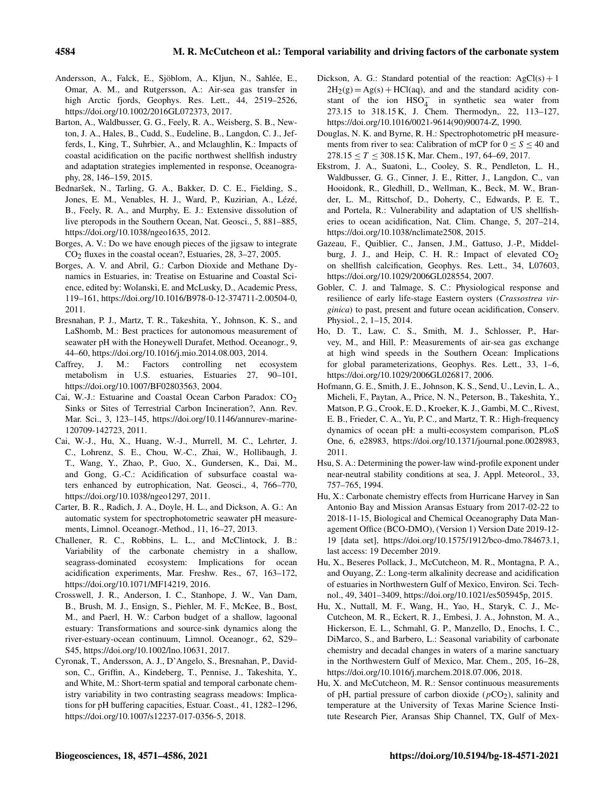- Andersson, A., Falck, E., Sjöblom, A., Kljun, N., Sahlée, E., Omar, A. M., and Rutgersson, A.: Air-sea gas transfer in high Arctic fjords, Geophys. Res. Lett., 44, 2519–2526, https://doi.org[/10.1002/2016GL072373,](https://doi.org/10.1002/2016GL072373) 2017.
- Barton, A., Waldbusser, G. G., Feely, R. A., Weisberg, S. B., Newton, J. A., Hales, B., Cudd, S., Eudeline, B., Langdon, C. J., Jefferds, I., King, T., Suhrbier, A., and Mclaughlin, K.: Impacts of coastal acidification on the pacific northwest shellfish industry and adaptation strategies implemented in response, Oceanography, 28, 146–159, 2015.
- Bednaršek, N., Tarling, G. A., Bakker, D. C. E., Fielding, S., Jones, E. M., Venables, H. J., Ward, P., Kuzirian, A., Lézé, B., Feely, R. A., and Murphy, E. J.: Extensive dissolution of live pteropods in the Southern Ocean, Nat. Geosci., 5, 881–885, https://doi.org[/10.1038/ngeo1635,](https://doi.org/10.1038/ngeo1635) 2012.
- Borges, A. V.: Do we have enough pieces of the jigsaw to integrate  $CO<sub>2</sub>$  fluxes in the coastal ocean?, Estuaries, 28, 3–27, 2005.
- Borges, A. V. and Abril, G.: Carbon Dioxide and Methane Dynamics in Estuaries, in: Treatise on Estuarine and Coastal Science, edited by: Wolanski, E. and McLusky, D., Academic Press, 119–161, https://doi.org[/10.1016/B978-0-12-374711-2.00504-0,](https://doi.org/10.1016/B978-0-12-374711-2.00504-0) 2011.
- Bresnahan, P. J., Martz, T. R., Takeshita, Y., Johnson, K. S., and LaShomb, M.: Best practices for autonomous measurement of seawater pH with the Honeywell Durafet, Method. Oceanogr., 9, 44–60, https://doi.org[/10.1016/j.mio.2014.08.003,](https://doi.org/10.1016/j.mio.2014.08.003) 2014.
- Caffrey, J. M.: Factors controlling net ecosystem metabolism in U.S. estuaries, Estuaries 27, 90–101, https://doi.org[/10.1007/BF02803563,](https://doi.org/10.1007/BF02803563) 2004.
- Cai, W.-J.: Estuarine and Coastal Ocean Carbon Paradox: CO<sub>2</sub> Sinks or Sites of Terrestrial Carbon Incineration?, Ann. Rev. Mar. Sci., 3, 123–145, https://doi.org[/10.1146/annurev-marine-](https://doi.org/10.1146/annurev-marine-120709-142723)[120709-142723,](https://doi.org/10.1146/annurev-marine-120709-142723) 2011.
- Cai, W.-J., Hu, X., Huang, W.-J., Murrell, M. C., Lehrter, J. C., Lohrenz, S. E., Chou, W.-C., Zhai, W., Hollibaugh, J. T., Wang, Y., Zhao, P., Guo, X., Gundersen, K., Dai, M., and Gong, G.-C.: Acidification of subsurface coastal waters enhanced by eutrophication, Nat. Geosci., 4, 766–770, https://doi.org[/10.1038/ngeo1297,](https://doi.org/10.1038/ngeo1297) 2011.
- Carter, B. R., Radich, J. A., Doyle, H. L., and Dickson, A. G.: An automatic system for spectrophotometric seawater pH measurements, Limnol. Oceanogr.-Method., 11, 16–27, 2013.
- Challener, R. C., Robbins, L. L., and McClintock, J. B.: Variability of the carbonate chemistry in a shallow, seagrass-dominated ecosystem: Implications for ocean acidification experiments, Mar. Freshw. Res., 67, 163–172, https://doi.org[/10.1071/MF14219,](https://doi.org/10.1071/MF14219) 2016.
- Crosswell, J. R., Anderson, I. C., Stanhope, J. W., Van Dam, B., Brush, M. J., Ensign, S., Piehler, M. F., McKee, B., Bost, M., and Paerl, H. W.: Carbon budget of a shallow, lagoonal estuary: Transformations and source-sink dynamics along the river-estuary-ocean continuum, Limnol. Oceanogr., 62, S29– S45, https://doi.org[/10.1002/lno.10631,](https://doi.org/10.1002/lno.10631) 2017.
- Cyronak, T., Andersson, A. J., D'Angelo, S., Bresnahan, P., Davidson, C., Griffin, A., Kindeberg, T., Pennise, J., Takeshita, Y., and White, M.: Short-term spatial and temporal carbonate chemistry variability in two contrasting seagrass meadows: Implications for pH buffering capacities, Estuar. Coast., 41, 1282–1296, https://doi.org[/10.1007/s12237-017-0356-5,](https://doi.org/10.1007/s12237-017-0356-5) 2018.
- Dickson, A. G.: Standard potential of the reaction:  $AgCl(s) + 1$  $2H_2(g) = Ag(s) + HCl(aq)$ , and and the standard acidity constant of the ion  $HSO_4^-$  in synthetic sea water from 273.15 to 318.15 K, J. Chem. Thermodyn,. 22, 113–127, https://doi.org[/10.1016/0021-9614\(90\)90074-Z,](https://doi.org/10.1016/0021-9614(90)90074-Z) 1990.
- Douglas, N. K. and Byrne, R. H.: Spectrophotometric pH measurements from river to sea: Calibration of mCP for  $0 \le S \le 40$  and  $278.15 \le T \le 308.15$  K, Mar. Chem., 197, 64–69, 2017.
- Ekstrom, J. A., Suatoni, L., Cooley, S. R., Pendleton, L. H., Waldbusser, G. G., Cinner, J. E., Ritter, J., Langdon, C., van Hooidonk, R., Gledhill, D., Wellman, K., Beck, M. W., Brander, L. M., Rittschof, D., Doherty, C., Edwards, P. E. T., and Portela, R.: Vulnerability and adaptation of US shellfisheries to ocean acidification, Nat. Clim. Change, 5, 207–214, https://doi.org[/10.1038/nclimate2508,](https://doi.org/10.1038/nclimate2508) 2015.
- Gazeau, F., Quiblier, C., Jansen, J.M., Gattuso, J.-P., Middelburg, J. J., and Heip, C. H. R.: Impact of elevated  $CO<sub>2</sub>$ on shellfish calcification, Geophys. Res. Lett., 34, L07603, https://doi.org[/10.1029/2006GL028554,](https://doi.org/10.1029/2006GL028554) 2007.
- Gobler, C. J. and Talmage, S. C.: Physiological response and resilience of early life-stage Eastern oysters (*Crassostrea virginica*) to past, present and future ocean acidification, Conserv. Physiol., 2, 1–15, 2014.
- Ho, D. T., Law, C. S., Smith, M. J., Schlosser, P., Harvey, M., and Hill, P.: Measurements of air-sea gas exchange at high wind speeds in the Southern Ocean: Implications for global parameterizations, Geophys. Res. Lett., 33, 1–6, https://doi.org[/10.1029/2006GL026817,](https://doi.org/10.1029/2006GL026817) 2006.
- Hofmann, G. E., Smith, J. E., Johnson, K. S., Send, U., Levin, L. A., Micheli, F., Paytan, A., Price, N. N., Peterson, B., Takeshita, Y., Matson, P. G., Crook, E. D., Kroeker, K. J., Gambi, M. C., Rivest, E. B., Frieder, C. A., Yu, P. C., and Martz, T. R.: High-frequency dynamics of ocean pH: a multi-ecosystem comparison, PLoS One, 6, e28983, https://doi.org[/10.1371/journal.pone.0028983,](https://doi.org/10.1371/journal.pone.0028983) 2011.
- Hsu, S. A.: Determining the power-law wind-profile exponent under near-neutral stability conditions at sea, J. Appl. Meteorol., 33, 757–765, 1994.
- Hu, X.: Carbonate chemistry effects from Hurricane Harvey in San Antonio Bay and Mission Aransas Estuary from 2017-02-22 to 2018-11-15, Biological and Chemical Oceanography Data Management Office (BCO-DMO), (Version 1) Version Date 2019-12- 19 [data set], https://doi.org[/10.1575/1912/bco-dmo.784673.1,](https://doi.org/10.1575/1912/bco-dmo.784673.1) last access: 19 December 2019.
- Hu, X., Beseres Pollack, J., McCutcheon, M. R., Montagna, P. A., and Ouyang, Z.: Long-term alkalinity decrease and acidification of estuaries in Northwestern Gulf of Mexico, Environ. Sci. Technol., 49, 3401–3409, https://doi.org[/10.1021/es505945p,](https://doi.org/10.1021/es505945p) 2015.
- Hu, X., Nuttall, M. F., Wang, H., Yao, H., Staryk, C. J., Mc-Cutcheon, M. R., Eckert, R. J., Embesi, J. A., Johnston, M. A., Hickerson, E. L., Schmahl, G. P., Manzello, D., Enochs, I. C., DiMarco, S., and Barbero, L.: Seasonal variability of carbonate chemistry and decadal changes in waters of a marine sanctuary in the Northwestern Gulf of Mexico, Mar. Chem., 205, 16–28, https://doi.org[/10.1016/j.marchem.2018.07.006,](https://doi.org/10.1016/j.marchem.2018.07.006) 2018.
- Hu, X. and McCutcheon, M. R.: Sensor continuous measurements of pH, partial pressure of carbon dioxide ( $pCO<sub>2</sub>$ ), salinity and temperature at the University of Texas Marine Science Institute Research Pier, Aransas Ship Channel, TX, Gulf of Mex-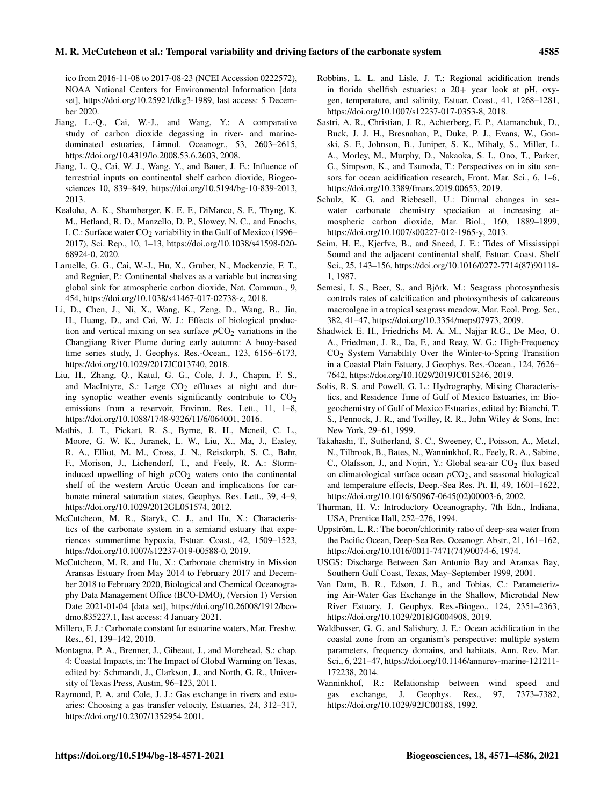ico from 2016-11-08 to 2017-08-23 (NCEI Accession 0222572), NOAA National Centers for Environmental Information [data set], https://doi.org[/10.25921/dkg3-1989,](https://doi.org/10.25921/dkg3-1989) last access: 5 December 2020.

- Jiang, L.-Q., Cai, W.-J., and Wang, Y.: A comparative study of carbon dioxide degassing in river- and marinedominated estuaries, Limnol. Oceanogr., 53, 2603–2615, https://doi.org[/10.4319/lo.2008.53.6.2603,](https://doi.org/10.4319/lo.2008.53.6.2603) 2008.
- Jiang, L. Q., Cai, W. J., Wang, Y., and Bauer, J. E.: Influence of terrestrial inputs on continental shelf carbon dioxide, Biogeosciences 10, 839–849, https://doi.org[/10.5194/bg-10-839-2013,](https://doi.org/10.5194/bg-10-839-2013) 2013.
- Kealoha, A. K., Shamberger, K. E. F., DiMarco, S. F., Thyng, K. M., Hetland, R. D., Manzello, D. P., Slowey, N. C., and Enochs, I. C.: Surface water  $CO<sub>2</sub>$  variability in the Gulf of Mexico (1996– 2017), Sci. Rep., 10, 1–13, https://doi.org[/10.1038/s41598-020-](https://doi.org/10.1038/s41598-020-68924-0) [68924-0,](https://doi.org/10.1038/s41598-020-68924-0) 2020.
- Laruelle, G. G., Cai, W.-J., Hu, X., Gruber, N., Mackenzie, F. T., and Regnier, P.: Continental shelves as a variable but increasing global sink for atmospheric carbon dioxide, Nat. Commun., 9, 454, https://doi.org[/10.1038/s41467-017-02738-z,](https://doi.org/10.1038/s41467-017-02738-z) 2018.
- Li, D., Chen, J., Ni, X., Wang, K., Zeng, D., Wang, B., Jin, H., Huang, D., and Cai, W. J.: Effects of biological production and vertical mixing on sea surface  $pCO<sub>2</sub>$  variations in the Changjiang River Plume during early autumn: A buoy-based time series study, J. Geophys. Res.-Ocean., 123, 6156–6173, https://doi.org[/10.1029/2017JC013740,](https://doi.org/10.1029/2017JC013740) 2018.
- Liu, H., Zhang, Q., Katul, G. G., Cole, J. J., Chapin, F. S., and MacIntyre, S.: Large  $CO<sub>2</sub>$  effluxes at night and during synoptic weather events significantly contribute to  $CO<sub>2</sub>$ emissions from a reservoir, Environ. Res. Lett., 11, 1–8, https://doi.org[/10.1088/1748-9326/11/6/064001,](https://doi.org/10.1088/1748-9326/11/6/064001) 2016.
- Mathis, J. T., Pickart, R. S., Byrne, R. H., Mcneil, C. L., Moore, G. W. K., Juranek, L. W., Liu, X., Ma, J., Easley, R. A., Elliot, M. M., Cross, J. N., Reisdorph, S. C., Bahr, F., Morison, J., Lichendorf, T., and Feely, R. A.: Storminduced upwelling of high  $pCO<sub>2</sub>$  waters onto the continental shelf of the western Arctic Ocean and implications for carbonate mineral saturation states, Geophys. Res. Lett., 39, 4–9, https://doi.org[/10.1029/2012GL051574,](https://doi.org/10.1029/2012GL051574) 2012.
- McCutcheon, M. R., Staryk, C. J., and Hu, X.: Characteristics of the carbonate system in a semiarid estuary that experiences summertime hypoxia, Estuar. Coast., 42, 1509–1523, https://doi.org[/10.1007/s12237-019-00588-0,](https://doi.org/10.1007/s12237-019-00588-0) 2019.
- McCutcheon, M. R. and Hu, X.: Carbonate chemistry in Mission Aransas Estuary from May 2014 to February 2017 and December 2018 to February 2020, Biological and Chemical Oceanography Data Management Office (BCO-DMO), (Version 1) Version Date 2021-01-04 [data set], https://doi.org[/10.26008/1912/bco](https://doi.org/10.26008/1912/bco-dmo.835227.1)[dmo.835227.1,](https://doi.org/10.26008/1912/bco-dmo.835227.1) last access: 4 January 2021.
- Millero, F. J.: Carbonate constant for estuarine waters, Mar. Freshw. Res., 61, 139–142, 2010.
- Montagna, P. A., Brenner, J., Gibeaut, J., and Morehead, S.: chap. 4: Coastal Impacts, in: The Impact of Global Warming on Texas, edited by: Schmandt, J., Clarkson, J., and North, G. R., University of Texas Press, Austin, 96–123, 2011.
- Raymond, P. A. and Cole, J. J.: Gas exchange in rivers and estuaries: Choosing a gas transfer velocity, Estuaries, 24, 312–317, https://doi.org[/10.2307/1352954](https://doi.org/10.2307/1352954) 2001.
- Robbins, L. L. and Lisle, J. T.: Regional acidification trends in florida shellfish estuaries: a 20+ year look at pH, oxygen, temperature, and salinity, Estuar. Coast., 41, 1268–1281, https://doi.org[/10.1007/s12237-017-0353-8,](https://doi.org/10.1007/s12237-017-0353-8) 2018.
- Sastri, A. R., Christian, J. R., Achterberg, E. P., Atamanchuk, D., Buck, J. J. H., Bresnahan, P., Duke, P. J., Evans, W., Gonski, S. F., Johnson, B., Juniper, S. K., Mihaly, S., Miller, L. A., Morley, M., Murphy, D., Nakaoka, S. I., Ono, T., Parker, G., Simpson, K., and Tsunoda, T.: Perspectives on in situ sensors for ocean acidification research, Front. Mar. Sci., 6, 1–6, https://doi.org[/10.3389/fmars.2019.00653,](https://doi.org/10.3389/fmars.2019.00653) 2019.
- Schulz, K. G. and Riebesell, U.: Diurnal changes in seawater carbonate chemistry speciation at increasing atmospheric carbon dioxide, Mar. Biol., 160, 1889–1899, https://doi.org[/10.1007/s00227-012-1965-y,](https://doi.org/10.1007/s00227-012-1965-y) 2013.
- Seim, H. E., Kjerfve, B., and Sneed, J. E.: Tides of Mississippi Sound and the adjacent continental shelf, Estuar. Coast. Shelf Sci., 25, 143–156, https://doi.org[/10.1016/0272-7714\(87\)90118-](https://doi.org/10.1016/0272-7714(87)90118-1) [1,](https://doi.org/10.1016/0272-7714(87)90118-1) 1987.
- Semesi, I. S., Beer, S., and Björk, M.: Seagrass photosynthesis controls rates of calcification and photosynthesis of calcareous macroalgae in a tropical seagrass meadow, Mar. Ecol. Prog. Ser., 382, 41–47, https://doi.org[/10.3354/meps07973,](https://doi.org/10.3354/meps07973) 2009.
- Shadwick E. H., Friedrichs M. A. M., Najjar R.G., De Meo, O. A., Friedman, J. R., Da, F., and Reay, W. G.: High-Frequency CO2 System Variability Over the Winter-to-Spring Transition in a Coastal Plain Estuary, J Geophys. Res.-Ocean., 124, 7626– 7642, https://doi.org[/10.1029/2019JC015246,](https://doi.org/10.1029/2019JC015246) 2019.
- Solis, R. S. and Powell, G. L.: Hydrography, Mixing Characteristics, and Residence Time of Gulf of Mexico Estuaries, in: Biogeochemistry of Gulf of Mexico Estuaries, edited by: Bianchi, T. S., Pennock, J. R., and Twilley, R. R., John Wiley & Sons, Inc: New York, 29–61, 1999.
- Takahashi, T., Sutherland, S. C., Sweeney, C., Poisson, A., Metzl, N., Tilbrook, B., Bates, N., Wanninkhof, R., Feely, R. A., Sabine, C., Olafsson, J., and Nojiri, Y.: Global sea-air CO<sub>2</sub> flux based on climatological surface ocean  $pCO<sub>2</sub>$ , and seasonal biological and temperature effects, Deep.-Sea Res. Pt. II, 49, 1601–1622, https://doi.org[/10.1016/S0967-0645\(02\)00003-6,](https://doi.org/10.1016/S0967-0645(02)00003-6) 2002.
- Thurman, H. V.: Introductory Oceanography, 7th Edn., Indiana, USA, Prentice Hall, 252–276, 1994.
- Uppström, L. R.: The boron/chlorinity ratio of deep-sea water from the Pacific Ocean, Deep-Sea Res. Oceanogr. Abstr., 21, 161–162, https://doi.org[/10.1016/0011-7471\(74\)90074-6,](https://doi.org/10.1016/0011-7471(74)90074-6) 1974.
- USGS: Discharge Between San Antonio Bay and Aransas Bay, Southern Gulf Coast, Texas, May–September 1999, 2001.
- Van Dam, B. R., Edson, J. B., and Tobias, C.: Parameterizing Air-Water Gas Exchange in the Shallow, Microtidal New River Estuary, J. Geophys. Res.-Biogeo., 124, 2351–2363, https://doi.org[/10.1029/2018JG004908,](https://doi.org/10.1029/2018JG004908) 2019.
- Waldbusser, G. G. and Salisbury, J. E.: Ocean acidification in the coastal zone from an organism's perspective: multiple system parameters, frequency domains, and habitats, Ann. Rev. Mar. Sci., 6, 221–47, https://doi.org[/10.1146/annurev-marine-121211-](https://doi.org/10.1146/annurev-marine-121211-172238) [172238,](https://doi.org/10.1146/annurev-marine-121211-172238) 2014.
- Wanninkhof, R.: Relationship between wind speed and gas exchange, J. Geophys. Res., 97, 7373–7382, https://doi.org[/10.1029/92JC00188,](https://doi.org/10.1029/92JC00188) 1992.